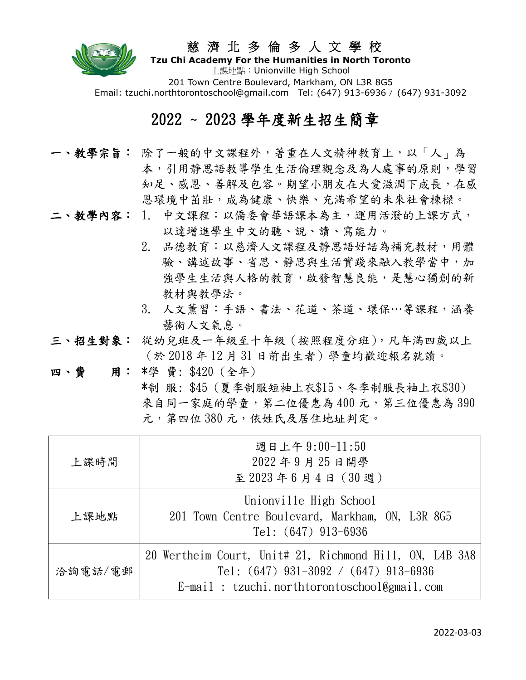

## 慈濟北多倫多人文學校

**Tzu Chi Academy For the Humanities in North Toronto** 上課地點:Unionville High School 201 Town Centre Boulevard, Markham, ON L3R 8G5 Email: tzuchi.northtorontoschool@gmail.com Tel: (647) 913-6936 / (647) 931-3092

## 2022 ~ 2023 學年度新生招生簡章

- 一、教學宗旨: 除了一般的中文課程外,著重在人文精神教育上,以「人」為 本,引用靜思語教導學生生活倫理觀念及為人處事的原則,學習 知足、感恩、善解及包容。期望小朋友在大愛滋潤下成長,在感 恩環境中茁壯,成為健康、快樂、充滿希望的未來社會棟樑。
- 二、教學內容: 1. 中文課程:以僑委會華語課本為主,運用活潑的上課方式, 以達增進學生中文的聽、說、讀、寫能力。
	- 2. 品德教育:以慈濟人文課程及靜思語好話為補充教材,用體 驗、講述故事、省思、靜思與生活實踐來融入教學當中,加 強學生生活與人格的教育,啟發智慧良能,是慧心獨創的新 教材與教學法。
	- 3. 人文薰習:手語、書法、花道、茶道、環保…等課程,涵養 藝術人文氣息。
- 三、招生對象: 從幼兒班及一年級至十年級(按照程度分班),凡年滿四歲以上 (於 2018 年 12 月 31 日前出生者)學童均歡迎報名就讀。
- 四、費 用: \*學 費: \$420 (全年)

\*制 服: \$45 (夏季制服短袖上衣\$15、冬季制服長袖上衣\$30) 來自同一家庭的學童,第二位優惠為 400 元,第三位優惠為 390 元,第四位380元,依姓氏及居住地址判定。

| 上課時間    | 週日上午 9:00-11:50<br>2022年9月25日開學<br>至 2023年6月4日 (30週)                                                                                               |
|---------|----------------------------------------------------------------------------------------------------------------------------------------------------|
| 上課地點    | Unionville High School<br>201 Town Centre Boulevard, Markham, ON, L3R 8G5<br>Tel: $(647)$ 913-6936                                                 |
| 洽詢電話/電郵 | 20 Wertheim Court, Unit# 21, Richmond Hill, ON, L4B 3A8<br>Tel: $(647)$ 931-3092 / $(647)$ 913-6936<br>E-mail: tzuchi.northtorontoschool@gmail.com |